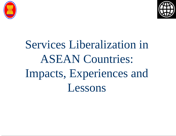



# Services Liberalization in ASEAN Countries: Impacts, Experiences and Lessons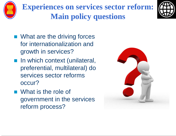





- What are the driving forces for internationalization and growth in services?
- **n** In which context (unilateral, preferential, multilateral) do services sector reforms occur?
- What is the role of government in the services reform process?

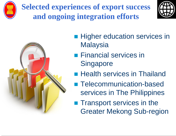

**Selected experiences of export success and ongoing integration efforts**





- **Higher education services in Malaysia**
- **Financial services in Singapore**
- **Health services in Thailand**
- **Telecommunication-based** services in The Philippines
- **Transport services in the** Greater Mekong Sub-region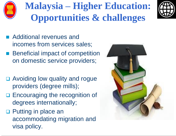

# **Malaysia – Higher Education: Opportunities & challenges**



- Additional revenues and incomes from services sales;
- **Beneficial impact of competition** on domestic service providers;
- □ Avoiding low quality and rogue providers (degree mills);
- □ Encouraging the recognition of degrees internationally;
- **D** Putting in place an accommodating migration and visa policy.

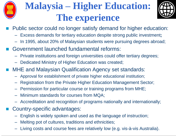

### **Malaysia – Higher Education: The experience**



- Public sector could no longer satisfy demand for higher education:
	- Excess demands for tertiary education despite strong public investment**;**
	- In 1995, about 20% of Malaysian students were pursuing degrees abroad;
- Government launched fundamental reforms:
	- Private institutions and foreign universities could offer tertiary degrees;
	- Dedicated Ministry of Higher Education was created;
- MHE and Malaysian Qualification Agency set standards:
	- Approval for establishment of private higher educational institution;
	- Registration from the Private Higher Education Management Sector;
	- Permission for particular course or training programs from MHE;
	- Minimum standards for courses from MQA;
	- Accreditation and recognition of programs nationally and internationally;
- Country-specific advantages:
	- English is widely spoken and used as the language of instruction;
	- Melting pot of cultures, traditions and ethnicities;
	- Living costs and course fees are relatively low (e.g. vis-à-vis Australia).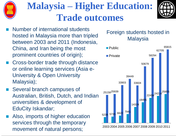

### **Malaysia – Higher Education: Trade outcomes**



- Cross-border trade through distance or online learning services (Asia e-University & Open University Malaysia);
- Several branch campuses of Australian, British, Dutch, and Indian universities & development of EduCity Iskandar;
- Also, imports of higher education services through the temporary movement of natural persons;

#### Foreign students hosted in **Malaysia**

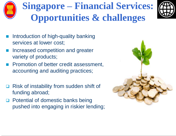

# **Singapore – Financial Services: Opportunities & challenges**

- Introduction of high-quality banking services at lower cost;
- Increased competition and greater variety of products;
- Promotion of better credit assessment, accounting and auditing practices;
- Risk of instability from sudden shift of funding abroad;
- □ Potential of domestic banks being pushed into engaging in riskier lending;

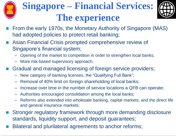# **Singapore – Financial Services: The experience**



- From the early 1970s, the Monetary Authority of Singapore (MAS) had adopted policies to protect retail banking;
- Asian Financial Crisis prompted comprehensive review of Singapore's financial system;
	- Opening of the market to competition in order to strengthen local banks;
	- More risk-based supervisory approach;
- Gradual and managed licensing of foreign service providers;
	- New category of banking licenses, the "Qualifying Full Bank";
	- Removal of 40% limit on foreign shareholding of local banks;
	- Increase over time in the number of service locations a QFB can operate;
	- Authorities encouraged consolidation among the local banks;
	- Reforms also extended into wholesale banking, capital markets, and the direct life and general insurance markets;
- Stronger regulatory framework through more demanding disclosure standards, liquidity support, and deposit guarantees;
- Bilateral and plurilateral agreements to anchor reforms;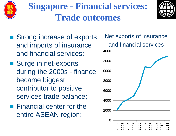

**Singapore - Financial services: Trade outcomes**



- Strong increase of exports and imports of insurance and financial services;
- Surge in net-exports during the 2000s - finance became biggest contributor to positive services trade balance;
- **Financial center for the** entire ASEAN region;

Net exports of insurance and financial services

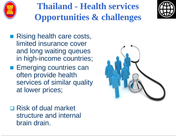

### **Thailand - Health services Opportunities & challenges**



- **Rising health care costs,** limited insurance cover and long waiting queues in high-income countries;
- **Emerging countries can** often provide health services of similar quality at lower prices;
- □ Risk of dual market structure and internal brain drain.

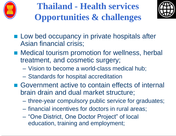

**Thailand - Health services Opportunities & challenges**



- **Low bed occupancy in private hospitals after** Asian financial crisis;
- Medical tourism promotion for wellness, herbal treatment, and cosmetic surgery;
	- Vision to become a world-class medical hub;
	- Standards for hospital accreditation
- Government active to contain effects of internal brain drain and dual market structure;
	- three-year compulsory public service for graduates;
	- financial incentives for doctors in rural areas;
	- "One District, One Doctor Project" of local education, training and employment;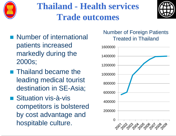

**Thailand - Health services Trade outcomes**



- **Number of international** patients increased markedly during the 2000s;
- **Thailand became the** leading medical tourist destination in SE-Asia;
- Situation vis-à-vis competitors is bolstered by cost advantage and hospitable culture.

#### Number of Foreign Patients Treated in Thailand

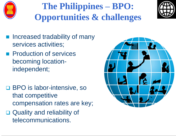

### **The Philippines – BPO: Opportunities & challenges**



- Increased tradability of many services activities;
- **Production of services** becoming locationindependent;
- □ BPO is labor-intensive, so that competitive compensation rates are key;
- Quality and reliability of telecommunications.

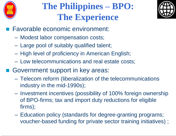

### **The Philippines – BPO: The Experience**



- **Favorable economic environment:** 
	- Modest labor compensation costs;
	- Large pool of suitably qualified talent;
	- High level of proficiency in American English;
	- Low telecommunications and real estate costs;
- Government support in key areas:
	- Telecom reform (liberalization of the telecommunications industry in the mid-1990s);
	- Investment incentives (possibility of 100% foreign ownership of BPO-firms; tax and import duty reductions for eligible firms);
	- Education policy (standards for degree-granting programs; voucher-based funding for private sector training initiatives) ;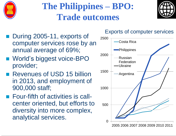

### **The Philippines – BPO: Trade outcomes**



- During 2005-11, exports of computer services rose by an annual average of 69%;
- World's biggest voice-BPO provider;
- Revenues of USD 15 billion in 2013, and employment of 900,000 staff;
- Four-fifth of activities is callcenter oriented, but efforts to diversity into more complex, analytical services.

#### Exports of computer services

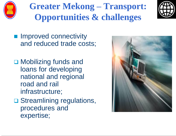

### **Greater Mekong – Transport: Opportunities & challenges**



- **Improved connectivity** and reduced trade costs;
- **□ Mobilizing funds and** loans for developing national and regional road and rail infrastructure;
- **□ Streamlining regulations,** procedures and expertise;

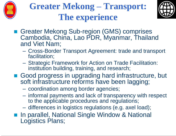





- Greater Mekong Sub-region (GMS) comprises Cambodia, China, Lao PDR, Myanmar, Thailand and Viet Nam;
	- Cross-Border Transport Agreement: trade and transport facilitation;
	- Strategic Framework for Action on Trade Facilitation: institution building, training, and research;
- Good progress in upgrading hard infrastructure, but soft infrastructure reforms have been lagging;
	- coordination among border agencies;
	- informal payments and lack of transparency with respect to the applicable procedures and regulations;
	- differences in logistics regulations (e.g. axel load);
- **In parallel, National Single Window & National** Logistics Plans;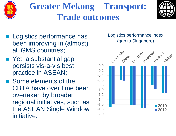

### **Greater Mekong – Transport: Trade outcomes**



- **Logistics performance has** been improving in (almost) all GMS countries;
- Yet, a substantial gap persists vis-à-vis best practice in ASEAN;
- Some elements of the CBTA have over time been overtaken by broader regional initiatives, such as the ASEAN Single Window initiative.

Logistics performance index (gap to Singapore)

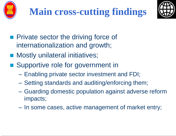



- **Private sector the driving force of** internationalization and growth;
- **Nostly unilateral initiatives;**
- Supportive role for government in
	- Enabling private sector investment and FDI;
	- Setting standards and auditing/enforcing them;
	- Guarding domestic population against adverse reform impacts;
	- In some cases, active management of market entry;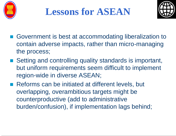



- Government is best at accommodating liberalization to contain adverse impacts, rather than micro-managing the process;
- Setting and controlling quality standards is important, but uniform requirements seem difficult to implement region-wide in diverse ASEAN;
- Reforms can be initiated at different levels, but overlapping, overambitious targets might be counterproductive (add to administrative burden/confusion), if implementation lags behind;